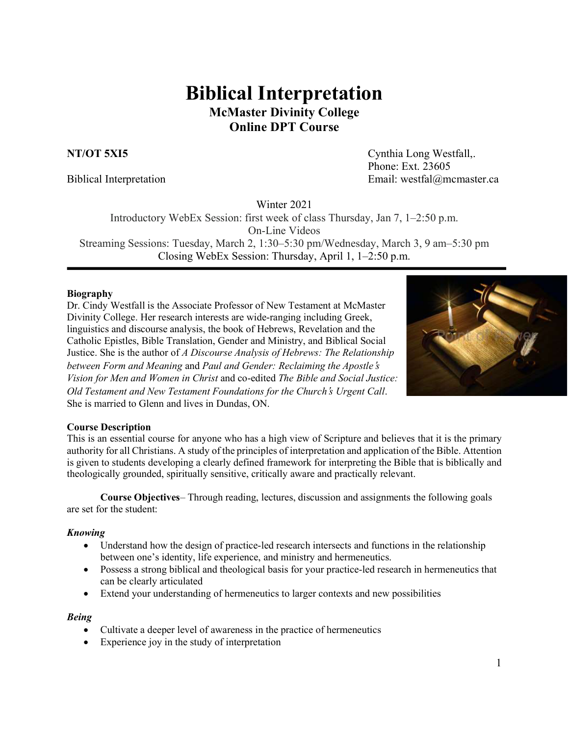# **Biblical Interpretation McMaster Divinity College Online DPT Course**

**NT/OT 5XI5** Cynthia Long Westfall,. Phone: Ext. 23605 Biblical Interpretation Email: westfal@mcmaster.ca

Winter 2021

Introductory WebEx Session: first week of class Thursday, Jan 7, 1–2:50 p.m. On-Line Videos Streaming Sessions: Tuesday, March 2, 1:30–5:30 pm/Wednesday, March 3, 9 am–5:30 pm

Closing WebEx Session: Thursday, April 1, 1–2:50 p.m.

#### **Biography**

Dr. Cindy Westfall is the Associate Professor of New Testament at McMaster Divinity College. Her research interests are wide-ranging including Greek, linguistics and discourse analysis, the book of Hebrews, Revelation and the Catholic Epistles, Bible Translation, Gender and Ministry, and Biblical Social Justice. She is the author of *A Discourse Analysis of Hebrews: The Relationship between Form and Meaning* and *Paul and Gender: Reclaiming the Apostle*'*s Vision for Men and Women in Christ* and co-edited *The Bible and Social Justice: Old Testament and New Testament Foundations for the Church*'*s Urgent Call*. She is married to Glenn and lives in Dundas, ON.



#### **Course Description**

This is an essential course for anyone who has a high view of Scripture and believes that it is the primary authority for all Christians. A study of the principles of interpretation and application of the Bible. Attention is given to students developing a clearly defined framework for interpreting the Bible that is biblically and theologically grounded, spiritually sensitive, critically aware and practically relevant.

**Course Objectives**– Through reading, lectures, discussion and assignments the following goals are set for the student:

#### *Knowing*

- Understand how the design of practice-led research intersects and functions in the relationship between one's identity, life experience, and ministry and hermeneutics.
- Possess a strong biblical and theological basis for your practice-led research in hermeneutics that can be clearly articulated
- Extend your understanding of hermeneutics to larger contexts and new possibilities

#### *Being*

- Cultivate a deeper level of awareness in the practice of hermeneutics
- Experience joy in the study of interpretation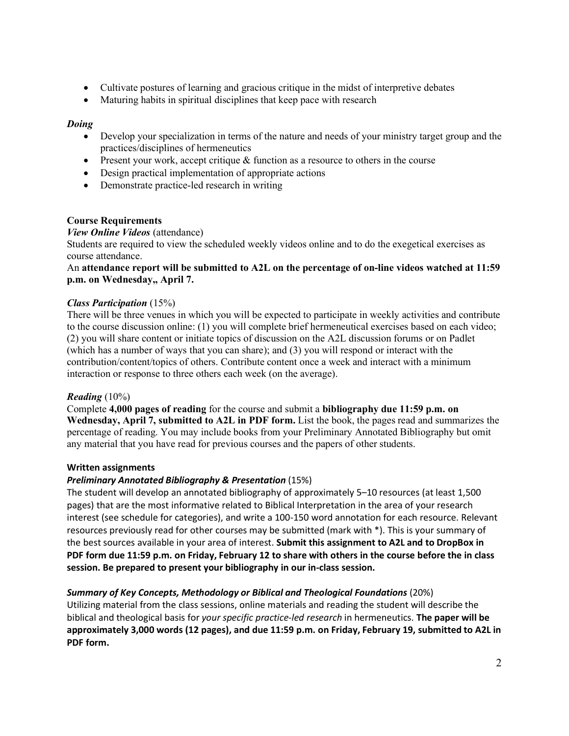- Cultivate postures of learning and gracious critique in the midst of interpretive debates
- Maturing habits in spiritual disciplines that keep pace with research

#### *Doing*

- Develop your specialization in terms of the nature and needs of your ministry target group and the practices/disciplines of hermeneutics
- Present your work, accept critique & function as a resource to others in the course
- Design practical implementation of appropriate actions
- Demonstrate practice-led research in writing

#### **Course Requirements**

#### *View Online Videos* (attendance)

Students are required to view the scheduled weekly videos online and to do the exegetical exercises as course attendance.

#### An **attendance report will be submitted to A2L on the percentage of on-line videos watched at 11:59 p.m. on Wednesday,, April 7.**

#### *Class Participation* (15%)

There will be three venues in which you will be expected to participate in weekly activities and contribute to the course discussion online: (1) you will complete brief hermeneutical exercises based on each video; (2) you will share content or initiate topics of discussion on the A2L discussion forums or on Padlet (which has a number of ways that you can share); and (3) you will respond or interact with the contribution/content/topics of others. Contribute content once a week and interact with a minimum interaction or response to three others each week (on the average).

#### *Reading* (10%)

Complete **4,000 pages of reading** for the course and submit a **bibliography due 11:59 p.m. on Wednesday, April 7, submitted to A2L in PDF form.** List the book, the pages read and summarizes the percentage of reading. You may include books from your Preliminary Annotated Bibliography but omit any material that you have read for previous courses and the papers of other students.

#### **Written assignments**

#### *Preliminary Annotated Bibliography & Presentation* (15%)

The student will develop an annotated bibliography of approximately 5–10 resources (at least 1,500 pages) that are the most informative related to Biblical Interpretation in the area of your research interest (see schedule for categories), and write a 100-150 word annotation for each resource. Relevant resources previously read for other courses may be submitted (mark with \*). This is your summary of the best sources available in your area of interest. **Submit this assignment to A2L and to DropBox in** PDF form due 11:59 p.m. on Friday, February 12 to share with others in the course before the in class **session. Be prepared to present your bibliography in our in-class session.**

#### *Summary of Key Concepts, Methodology or Biblical and Theological Foundations* (20%)

Utilizing material from the class sessions, online materials and reading the student will describe the biblical and theological basis for *your specific practice-led research* in hermeneutics. **The paper will be approximately 3,000 words (12 pages), and due 11:59 p.m. on Friday, February 19, submitted to A2L in PDF form.**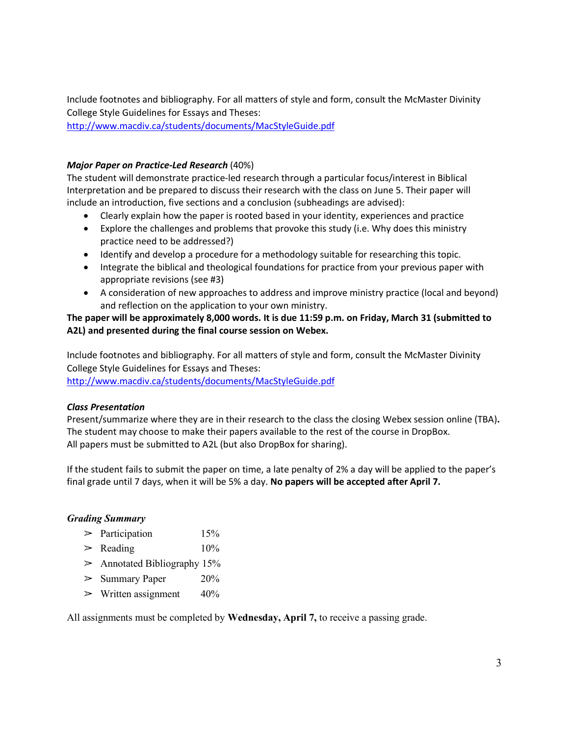Include footnotes and bibliography. For all matters of style and form, consult the McMaster Divinity College Style Guidelines for Essays and Theses:

http://www.macdiv.ca/students/documents/MacStyleGuide.pdf

#### *Major Paper on Practice-Led Research* (40%)

The student will demonstrate practice-led research through a particular focus/interest in Biblical Interpretation and be prepared to discuss their research with the class on June 5. Their paper will include an introduction, five sections and a conclusion (subheadings are advised):

- Clearly explain how the paper is rooted based in your identity, experiences and practice
- Explore the challenges and problems that provoke this study (i.e. Why does this ministry practice need to be addressed?)
- Identify and develop a procedure for a methodology suitable for researching this topic.
- Integrate the biblical and theological foundations for practice from your previous paper with appropriate revisions (see #3)
- A consideration of new approaches to address and improve ministry practice (local and beyond) and reflection on the application to your own ministry.

#### The paper will be approximately 8,000 words. It is due 11:59 p.m. on Friday, March 31 (submitted to **A2L) and presented during the final course session on Webex.**

Include footnotes and bibliography. For all matters of style and form, consult the McMaster Divinity College Style Guidelines for Essays and Theses: http://www.macdiv.ca/students/documents/MacStyleGuide.pdf

#### *Class Presentation*

Present/summarize where they are in their research to the class the closing Webex session online (TBA)**.** The student may choose to make their papers available to the rest of the course in DropBox. All papers must be submitted to A2L (but also DropBox for sharing).

If the student fails to submit the paper on time, a late penalty of 2% a day will be applied to the paper's final grade until 7 days, when it will be 5% a day. **No papers will be accepted after April 7.**

#### *Grading Summary*

- $\geq$  Participation 15%
- $\geq$  Reading  $10\%$
- $\geq$  Annotated Bibliography 15%
- $\geq$  Summary Paper 20%
- $\triangleright$  Written assignment 40%

All assignments must be completed by **Wednesday, April 7,** to receive a passing grade.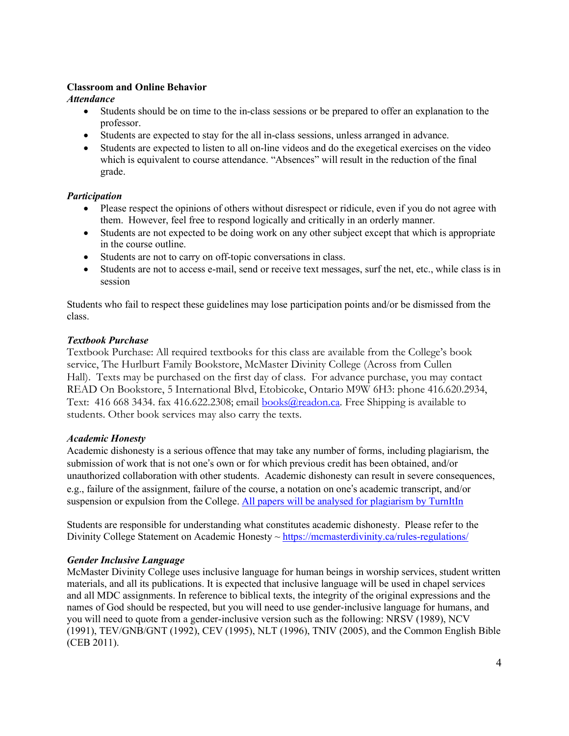#### **Classroom and Online Behavior**

*Attendance*

- Students should be on time to the in-class sessions or be prepared to offer an explanation to the professor.
- Students are expected to stay for the all in-class sessions, unless arranged in advance.
- Students are expected to listen to all on-line videos and do the exegetical exercises on the video which is equivalent to course attendance. "Absences" will result in the reduction of the final grade.

### *Participation*

- Please respect the opinions of others without disrespect or ridicule, even if you do not agree with them. However, feel free to respond logically and critically in an orderly manner.
- Students are not expected to be doing work on any other subject except that which is appropriate in the course outline.
- Students are not to carry on off-topic conversations in class.
- Students are not to access e-mail, send or receive text messages, surf the net, etc., while class is in session

Students who fail to respect these guidelines may lose participation points and/or be dismissed from the class.

#### *Textbook Purchase*

Textbook Purchase: All required textbooks for this class are available from the College's book service, The Hurlburt Family Bookstore, McMaster Divinity College (Across from Cullen Hall). Texts may be purchased on the first day of class. For advance purchase, you may contact READ On Bookstore, 5 International Blvd, Etobicoke, Ontario M9W 6H3: phone 416.620.2934, Text: 416 668 3434. fax 416.622.2308; email books@readon.ca. Free Shipping is available to students. Other book services may also carry the texts.

#### *Academic Honesty*

Academic dishonesty is a serious offence that may take any number of forms, including plagiarism, the submission of work that is not one's own or for which previous credit has been obtained, and/or unauthorized collaboration with other students. Academic dishonesty can result in severe consequences, e.g., failure of the assignment, failure of the course, a notation on one's academic transcript, and/or suspension or expulsion from the College. All papers will be analysed for plagiarism by TurnItIn

Students are responsible for understanding what constitutes academic dishonesty. Please refer to the Divinity College Statement on Academic Honesty ~ https://mcmasterdivinity.ca/rules-regulations/

### *Gender Inclusive Language*

McMaster Divinity College uses inclusive language for human beings in worship services, student written materials, and all its publications. It is expected that inclusive language will be used in chapel services and all MDC assignments. In reference to biblical texts, the integrity of the original expressions and the names of God should be respected, but you will need to use gender-inclusive language for humans, and you will need to quote from a gender-inclusive version such as the following: NRSV (1989), NCV (1991), TEV/GNB/GNT (1992), CEV (1995), NLT (1996), TNIV (2005), and the Common English Bible (CEB 2011).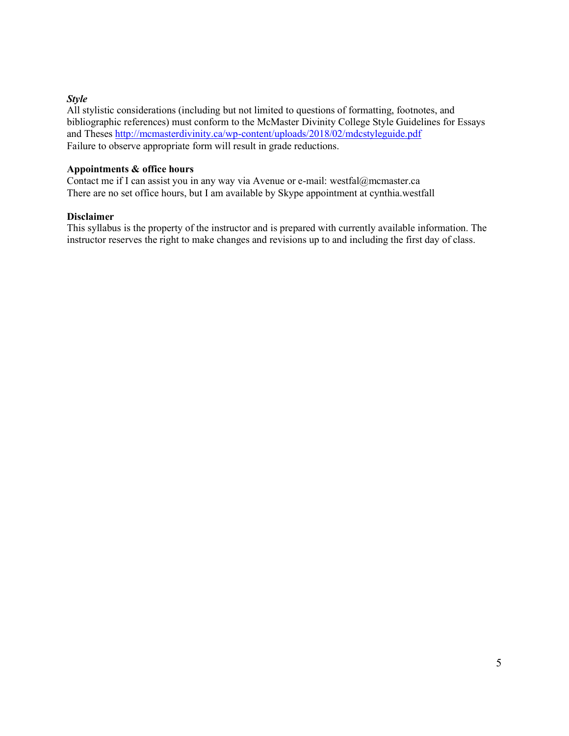#### *Style*

All stylistic considerations (including but not limited to questions of formatting, footnotes, and bibliographic references) must conform to the McMaster Divinity College Style Guidelines for Essays and Theses http://mcmasterdivinity.ca/wp-content/uploads/2018/02/mdcstyleguide.pdf Failure to observe appropriate form will result in grade reductions.

#### **Appointments & office hours**

Contact me if I can assist you in any way via Avenue or e-mail: westfal@mcmaster.ca There are no set office hours, but I am available by Skype appointment at cynthia.westfall

#### **Disclaimer**

This syllabus is the property of the instructor and is prepared with currently available information. The instructor reserves the right to make changes and revisions up to and including the first day of class.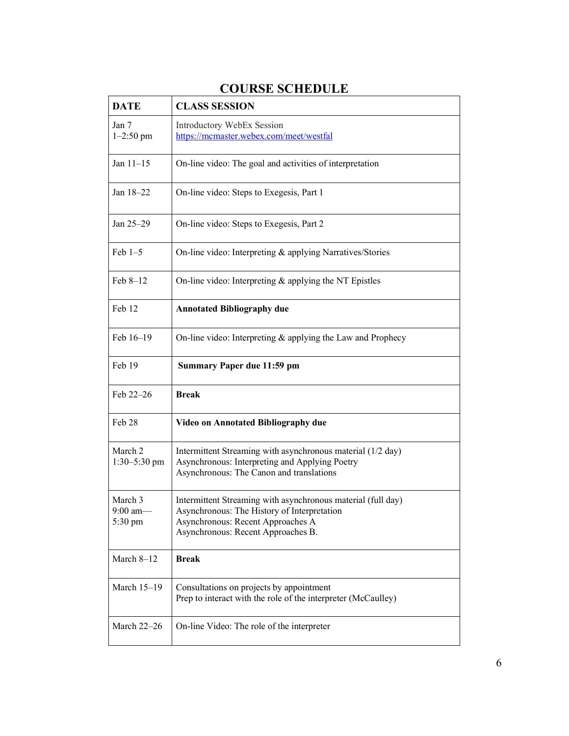| <b>DATE</b>                      | <b>CLASS SESSION</b>                                                                                                                                                                   |
|----------------------------------|----------------------------------------------------------------------------------------------------------------------------------------------------------------------------------------|
| Jan 7<br>$1 - 2:50$ pm           | Introductory WebEx Session<br>https://mcmaster.webex.com/meet/westfal                                                                                                                  |
| Jan $11-15$                      | On-line video: The goal and activities of interpretation                                                                                                                               |
| Jan 18-22                        | On-line video: Steps to Exegesis, Part 1                                                                                                                                               |
| Jan 25-29                        | On-line video: Steps to Exegesis, Part 2                                                                                                                                               |
| $Feb 1-5$                        | On-line video: Interpreting & applying Narratives/Stories                                                                                                                              |
| Feb 8-12                         | On-line video: Interpreting & applying the NT Epistles                                                                                                                                 |
| Feb 12                           | <b>Annotated Bibliography due</b>                                                                                                                                                      |
| Feb 16-19                        | On-line video: Interpreting & applying the Law and Prophecy                                                                                                                            |
| Feb 19                           | <b>Summary Paper due 11:59 pm</b>                                                                                                                                                      |
| Feb 22-26                        | <b>Break</b>                                                                                                                                                                           |
| Feb 28                           | Video on Annotated Bibliography due                                                                                                                                                    |
| March 2<br>1:30-5:30 pm          | Intermittent Streaming with asynchronous material (1/2 day)<br>Asynchronous: Interpreting and Applying Poetry<br>Asynchronous: The Canon and translations                              |
| March 3<br>$9:00$ am-<br>5:30 pm | Intermittent Streaming with asynchronous material (full day)<br>Asynchronous: The History of Interpretation<br>Asynchronous: Recent Approaches A<br>Asynchronous: Recent Approaches B. |
| March $8-12$                     | <b>Break</b>                                                                                                                                                                           |
| March 15-19                      | Consultations on projects by appointment<br>Prep to interact with the role of the interpreter (McCaulley)                                                                              |
| March 22-26                      | On-line Video: The role of the interpreter                                                                                                                                             |

## **COURSE SCHEDULE**